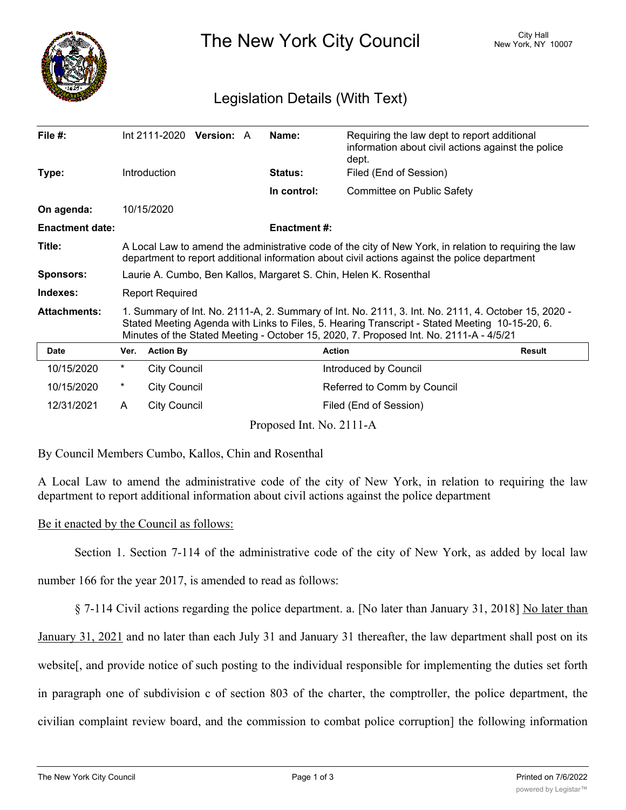

The New York City Council New York, NY 10007

## Legislation Details (With Text)

| File $#$ :             |                                                                                                                                                                                                                                                                                                 |                     | Int 2111-2020 Version: A |  | Name:                    | Requiring the law dept to report additional<br>information about civil actions against the police<br>dept. |               |
|------------------------|-------------------------------------------------------------------------------------------------------------------------------------------------------------------------------------------------------------------------------------------------------------------------------------------------|---------------------|--------------------------|--|--------------------------|------------------------------------------------------------------------------------------------------------|---------------|
| Type:                  |                                                                                                                                                                                                                                                                                                 | <b>Introduction</b> |                          |  | Status:                  | Filed (End of Session)                                                                                     |               |
|                        |                                                                                                                                                                                                                                                                                                 |                     |                          |  | In control:              | Committee on Public Safety                                                                                 |               |
| On agenda:             |                                                                                                                                                                                                                                                                                                 | 10/15/2020          |                          |  |                          |                                                                                                            |               |
| <b>Enactment date:</b> |                                                                                                                                                                                                                                                                                                 |                     |                          |  | <b>Enactment#:</b>       |                                                                                                            |               |
| Title:                 | A Local Law to amend the administrative code of the city of New York, in relation to requiring the law<br>department to report additional information about civil actions against the police department                                                                                         |                     |                          |  |                          |                                                                                                            |               |
| <b>Sponsors:</b>       | Laurie A. Cumbo, Ben Kallos, Margaret S. Chin, Helen K. Rosenthal                                                                                                                                                                                                                               |                     |                          |  |                          |                                                                                                            |               |
| Indexes:               | <b>Report Required</b>                                                                                                                                                                                                                                                                          |                     |                          |  |                          |                                                                                                            |               |
| <b>Attachments:</b>    | 1. Summary of Int. No. 2111-A, 2. Summary of Int. No. 2111, 3. Int. No. 2111, 4. October 15, 2020 -<br>Stated Meeting Agenda with Links to Files, 5. Hearing Transcript - Stated Meeting 10-15-20, 6.<br>Minutes of the Stated Meeting - October 15, 2020, 7. Proposed Int. No. 2111-A - 4/5/21 |                     |                          |  |                          |                                                                                                            |               |
| <b>Date</b>            | Ver.                                                                                                                                                                                                                                                                                            | <b>Action By</b>    |                          |  | <b>Action</b>            |                                                                                                            | <b>Result</b> |
| 10/15/2020             | $^\star$                                                                                                                                                                                                                                                                                        | <b>City Council</b> |                          |  |                          | Introduced by Council                                                                                      |               |
| 10/15/2020             | $^\star$                                                                                                                                                                                                                                                                                        | <b>City Council</b> |                          |  |                          | Referred to Comm by Council                                                                                |               |
| 12/31/2021             | A                                                                                                                                                                                                                                                                                               | <b>City Council</b> |                          |  |                          | Filed (End of Session)                                                                                     |               |
|                        |                                                                                                                                                                                                                                                                                                 |                     |                          |  | Proposed Int. No. 2111-A |                                                                                                            |               |

By Council Members Cumbo, Kallos, Chin and Rosenthal

A Local Law to amend the administrative code of the city of New York, in relation to requiring the law department to report additional information about civil actions against the police department

## Be it enacted by the Council as follows:

Section 1. Section 7-114 of the administrative code of the city of New York, as added by local law

number 166 for the year 2017, is amended to read as follows:

§ 7-114 Civil actions regarding the police department. a. [No later than January 31, 2018] No later than

January 31, 2021 and no later than each July 31 and January 31 thereafter, the law department shall post on its website[, and provide notice of such posting to the individual responsible for implementing the duties set forth in paragraph one of subdivision c of section 803 of the charter, the comptroller, the police department, the civilian complaint review board, and the commission to combat police corruption] the following information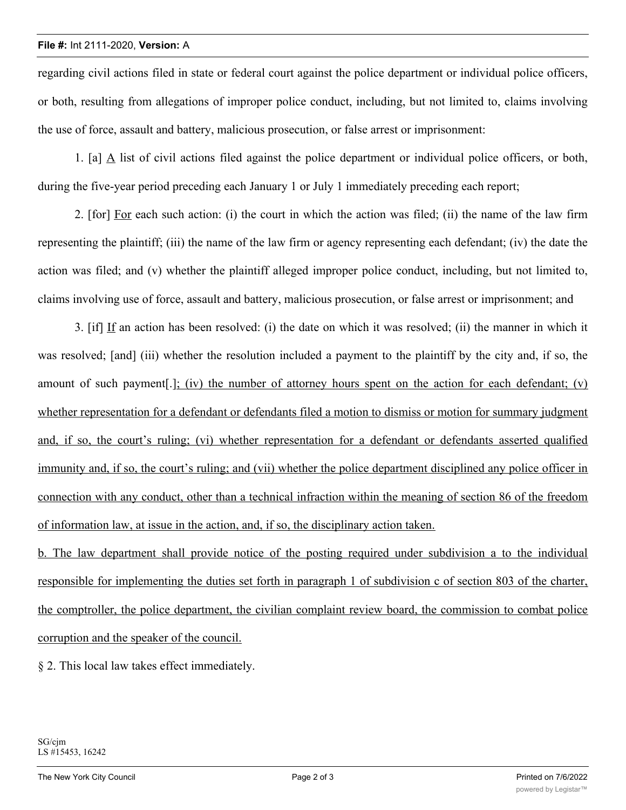regarding civil actions filed in state or federal court against the police department or individual police officers, or both, resulting from allegations of improper police conduct, including, but not limited to, claims involving the use of force, assault and battery, malicious prosecution, or false arrest or imprisonment:

1. [a] A list of civil actions filed against the police department or individual police officers, or both, during the five-year period preceding each January 1 or July 1 immediately preceding each report;

2. [for] For each such action: (i) the court in which the action was filed; (ii) the name of the law firm representing the plaintiff; (iii) the name of the law firm or agency representing each defendant; (iv) the date the action was filed; and (v) whether the plaintiff alleged improper police conduct, including, but not limited to, claims involving use of force, assault and battery, malicious prosecution, or false arrest or imprisonment; and

3. [if] If an action has been resolved: (i) the date on which it was resolved; (ii) the manner in which it was resolved; [and] (iii) whether the resolution included a payment to the plaintiff by the city and, if so, the amount of such payment[.]; (iv) the number of attorney hours spent on the action for each defendant; (v) whether representation for a defendant or defendants filed a motion to dismiss or motion for summary judgment and, if so, the court's ruling; (vi) whether representation for a defendant or defendants asserted qualified immunity and, if so, the court's ruling; and (vii) whether the police department disciplined any police officer in connection with any conduct, other than a technical infraction within the meaning of section 86 of the freedom of information law, at issue in the action, and, if so, the disciplinary action taken.

b. The law department shall provide notice of the posting required under subdivision a to the individual responsible for implementing the duties set forth in paragraph 1 of subdivision c of section 803 of the charter, the comptroller, the police department, the civilian complaint review board, the commission to combat police corruption and the speaker of the council.

§ 2. This local law takes effect immediately.